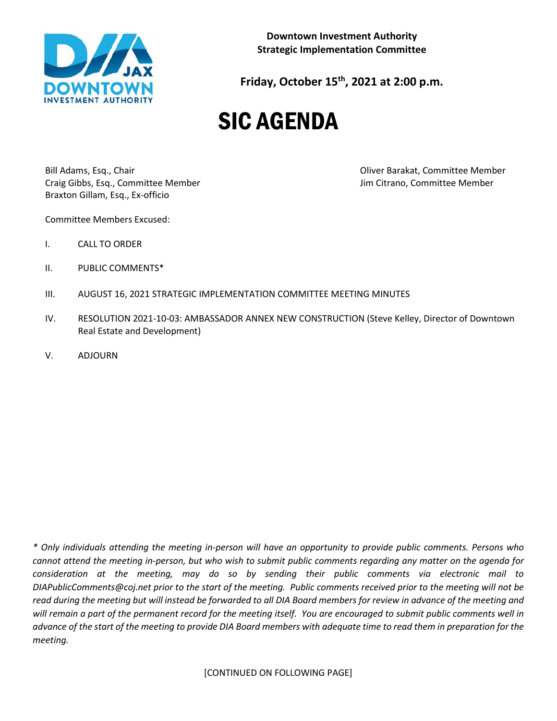

**Downtown Investment Authority Strategic Implementation Committee**

**Friday, October 15th, 2021 at 2:00 p.m.**

# SIC AGENDA

Bill Adams, Esq., Chair Oliver Barakat, Committee Member Craig Gibbs, Esq., Committee Member Jim Citrano, Committee Member Braxton Gillam, Esq., Ex-officio

Committee Members Excused:

- I. CALL TO ORDER
- II. PUBLIC COMMENTS\*
- III. AUGUST 16, 2021 STRATEGIC IMPLEMENTATION COMMITTEE MEETING MINUTES
- IV. RESOLUTION 2021-10-03: AMBASSADOR ANNEX NEW CONSTRUCTION (Steve Kelley, Director of Downtown Real Estate and Development)
- V. ADJOURN

*\* Only individuals attending the meeting in-person will have an opportunity to provide public comments. Persons who cannot attend the meeting in-person, but who wish to submit public comments regarding any matter on the agenda for consideration at the meeting, may do so by sending their public comments via electronic mail to DIAPublicComments@coj.net prior to the start of the meeting. Public comments received prior to the meeting will not be read during the meeting but will instead be forwarded to all DIA Board members for review in advance of the meeting and will remain a part of the permanent record for the meeting itself. You are encouraged to submit public comments well in advance of the start of the meeting to provide DIA Board members with adequate time to read them in preparation for the meeting.*